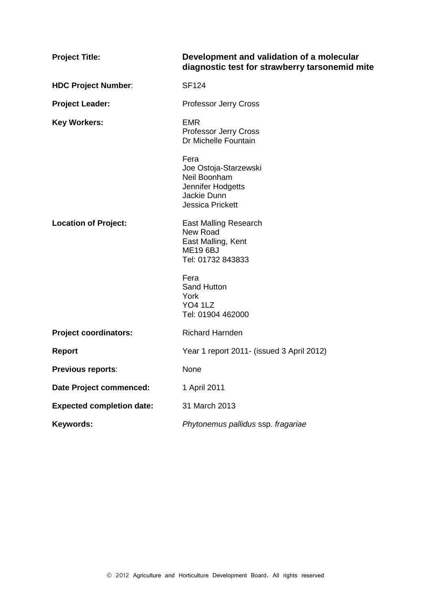| <b>Project Title:</b>            | Development and validation of a molecular<br>diagnostic test for strawberry tarsonemid mite                   |
|----------------------------------|---------------------------------------------------------------------------------------------------------------|
| <b>HDC Project Number:</b>       | <b>SF124</b>                                                                                                  |
| <b>Project Leader:</b>           | <b>Professor Jerry Cross</b>                                                                                  |
| <b>Key Workers:</b>              | <b>EMR</b><br><b>Professor Jerry Cross</b><br>Dr Michelle Fountain                                            |
|                                  | Fera<br>Joe Ostoja-Starzewski<br>Neil Boonham<br>Jennifer Hodgetts<br>Jackie Dunn<br><b>Jessica Prickett</b>  |
| <b>Location of Project:</b>      | <b>East Malling Research</b><br><b>New Road</b><br>East Malling, Kent<br><b>ME19 6BJ</b><br>Tel: 01732 843833 |
|                                  | Fera<br><b>Sand Hutton</b><br>York<br><b>YO4 1LZ</b><br>Tel: 01904 462000                                     |
| <b>Project coordinators:</b>     | <b>Richard Harnden</b>                                                                                        |
| <b>Report</b>                    | Year 1 report 2011- (issued 3 April 2012)                                                                     |
| <b>Previous reports:</b>         | None                                                                                                          |
| <b>Date Project commenced:</b>   | 1 April 2011                                                                                                  |
| <b>Expected completion date:</b> | 31 March 2013                                                                                                 |
| Keywords:                        | Phytonemus pallidus ssp. fragariae                                                                            |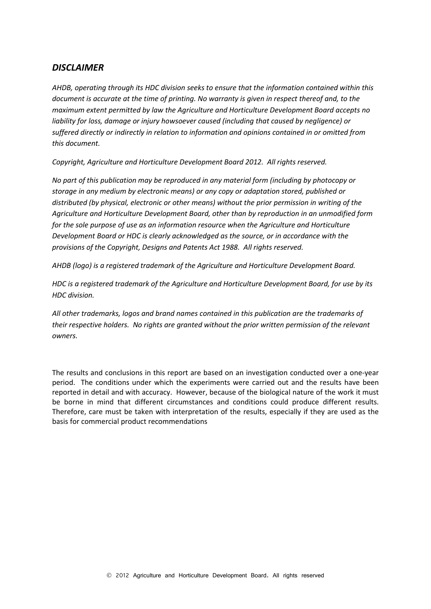## *DISCLAIMER*

*AHDB, operating through its HDC division seeks to ensure that the information contained within this document is accurate at the time of printing. No warranty is given in respect thereof and, to the maximum extent permitted by law the Agriculture and Horticulture Development Board accepts no liability for loss, damage or injury howsoever caused (including that caused by negligence) or suffered directly or indirectly in relation to information and opinions contained in or omitted from this document.* 

*Copyright, Agriculture and Horticulture Development Board 2012. All rights reserved.*

*No part of this publication may be reproduced in any material form (including by photocopy or storage in any medium by electronic means) or any copy or adaptation stored, published or distributed (by physical, electronic or other means) without the prior permission in writing of the Agriculture and Horticulture Development Board, other than by reproduction in an unmodified form for the sole purpose of use as an information resource when the Agriculture and Horticulture Development Board or HDC is clearly acknowledged as the source, or in accordance with the provisions of the Copyright, Designs and Patents Act 1988. All rights reserved.* 

*AHDB (logo) is a registered trademark of the Agriculture and Horticulture Development Board.*

*HDC is a registered trademark of the Agriculture and Horticulture Development Board, for use by its HDC division.*

*All other trademarks, logos and brand names contained in this publication are the trademarks of their respective holders. No rights are granted without the prior written permission of the relevant owners.*

The results and conclusions in this report are based on an investigation conducted over a one-year period. The conditions under which the experiments were carried out and the results have been reported in detail and with accuracy. However, because of the biological nature of the work it must be borne in mind that different circumstances and conditions could produce different results. Therefore, care must be taken with interpretation of the results, especially if they are used as the basis for commercial product recommendations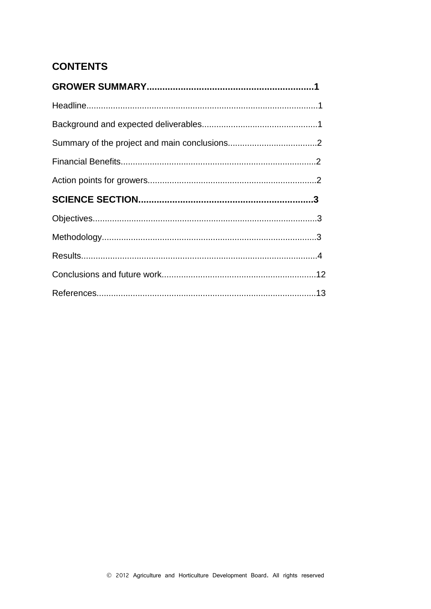# **CONTENTS**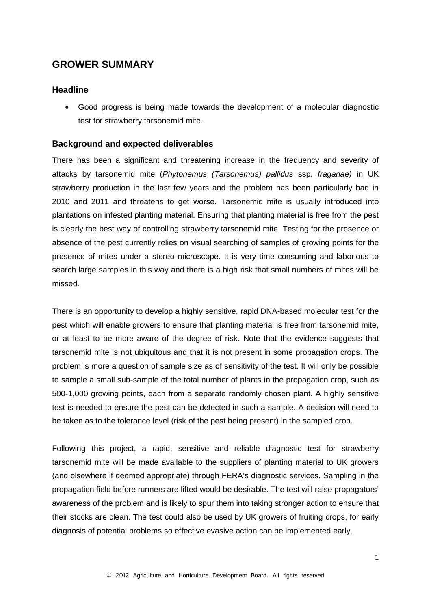## **GROWER SUMMARY**

#### **Headline**

• Good progress is being made towards the development of a molecular diagnostic test for strawberry tarsonemid mite.

### **Background and expected deliverables**

There has been a significant and threatening increase in the frequency and severity of attacks by tarsonemid mite (*Phytonemus (Tarsonemus) pallidus* ssp*. fragariae)* in UK strawberry production in the last few years and the problem has been particularly bad in 2010 and 2011 and threatens to get worse. Tarsonemid mite is usually introduced into plantations on infested planting material. Ensuring that planting material is free from the pest is clearly the best way of controlling strawberry tarsonemid mite. Testing for the presence or absence of the pest currently relies on visual searching of samples of growing points for the presence of mites under a stereo microscope. It is very time consuming and laborious to search large samples in this way and there is a high risk that small numbers of mites will be missed.

There is an opportunity to develop a highly sensitive, rapid DNA-based molecular test for the pest which will enable growers to ensure that planting material is free from tarsonemid mite, or at least to be more aware of the degree of risk. Note that the evidence suggests that tarsonemid mite is not ubiquitous and that it is not present in some propagation crops. The problem is more a question of sample size as of sensitivity of the test. It will only be possible to sample a small sub-sample of the total number of plants in the propagation crop, such as 500-1,000 growing points, each from a separate randomly chosen plant. A highly sensitive test is needed to ensure the pest can be detected in such a sample. A decision will need to be taken as to the tolerance level (risk of the pest being present) in the sampled crop.

Following this project, a rapid, sensitive and reliable diagnostic test for strawberry tarsonemid mite will be made available to the suppliers of planting material to UK growers (and elsewhere if deemed appropriate) through FERA's diagnostic services. Sampling in the propagation field before runners are lifted would be desirable. The test will raise propagators' awareness of the problem and is likely to spur them into taking stronger action to ensure that their stocks are clean. The test could also be used by UK growers of fruiting crops, for early diagnosis of potential problems so effective evasive action can be implemented early.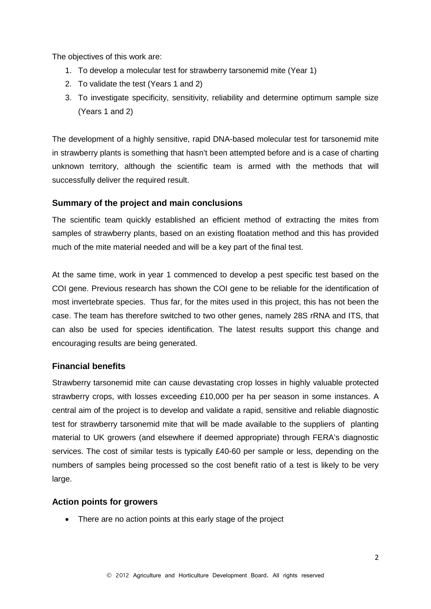The objectives of this work are:

- 1. To develop a molecular test for strawberry tarsonemid mite (Year 1)
- 2. To validate the test (Years 1 and 2)
- 3. To investigate specificity, sensitivity, reliability and determine optimum sample size (Years 1 and 2)

The development of a highly sensitive, rapid DNA-based molecular test for tarsonemid mite in strawberry plants is something that hasn't been attempted before and is a case of charting unknown territory, although the scientific team is armed with the methods that will successfully deliver the required result.

### **Summary of the project and main conclusions**

The scientific team quickly established an efficient method of extracting the mites from samples of strawberry plants, based on an existing floatation method and this has provided much of the mite material needed and will be a key part of the final test.

At the same time, work in year 1 commenced to develop a pest specific test based on the COI gene. Previous research has shown the COI gene to be reliable for the identification of most invertebrate species. Thus far, for the mites used in this project, this has not been the case. The team has therefore switched to two other genes, namely 28S rRNA and ITS, that can also be used for species identification. The latest results support this change and encouraging results are being generated.

#### **Financial benefits**

Strawberry tarsonemid mite can cause devastating crop losses in highly valuable protected strawberry crops, with losses exceeding £10,000 per ha per season in some instances. A central aim of the project is to develop and validate a rapid, sensitive and reliable diagnostic test for strawberry tarsonemid mite that will be made available to the suppliers of planting material to UK growers (and elsewhere if deemed appropriate) through FERA's diagnostic services. The cost of similar tests is typically £40-60 per sample or less, depending on the numbers of samples being processed so the cost benefit ratio of a test is likely to be very large.

#### **Action points for growers**

• There are no action points at this early stage of the project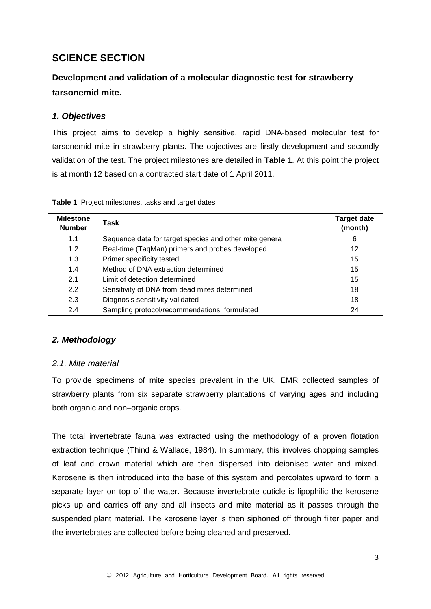# **SCIENCE SECTION**

# **Development and validation of a molecular diagnostic test for strawberry tarsonemid mite.**

## *1. Objectives*

This project aims to develop a highly sensitive, rapid DNA-based molecular test for tarsonemid mite in strawberry plants. The objectives are firstly development and secondly validation of the test. The project milestones are detailed in **Table 1**. At this point the project is at month 12 based on a contracted start date of 1 April 2011.

| <b>Milestone</b><br><b>Number</b> | Task                                                   | <b>Target date</b><br>(month) |
|-----------------------------------|--------------------------------------------------------|-------------------------------|
| 1.1                               | Sequence data for target species and other mite genera | 6                             |
| 1.2                               | Real-time (TaqMan) primers and probes developed        | 12                            |
| 1.3                               | Primer specificity tested                              | 15                            |
| 1.4                               | Method of DNA extraction determined                    | 15                            |
| 2.1                               | Limit of detection determined                          | 15                            |
| 2.2                               | Sensitivity of DNA from dead mites determined          | 18                            |
| 2.3                               | Diagnosis sensitivity validated                        | 18                            |
| 2.4                               | Sampling protocol/recommendations formulated           | 24                            |

**Table 1**. Project milestones, tasks and target dates

#### *2. Methodology*

#### *2.1. Mite material*

To provide specimens of mite species prevalent in the UK, EMR collected samples of strawberry plants from six separate strawberry plantations of varying ages and including both organic and non–organic crops.

The total invertebrate fauna was extracted using the methodology of a proven flotation extraction technique (Thind & Wallace, 1984). In summary, this involves chopping samples of leaf and crown material which are then dispersed into deionised water and mixed. Kerosene is then introduced into the base of this system and percolates upward to form a separate layer on top of the water. Because invertebrate cuticle is lipophilic the kerosene picks up and carries off any and all insects and mite material as it passes through the suspended plant material. The kerosene layer is then siphoned off through filter paper and the invertebrates are collected before being cleaned and preserved.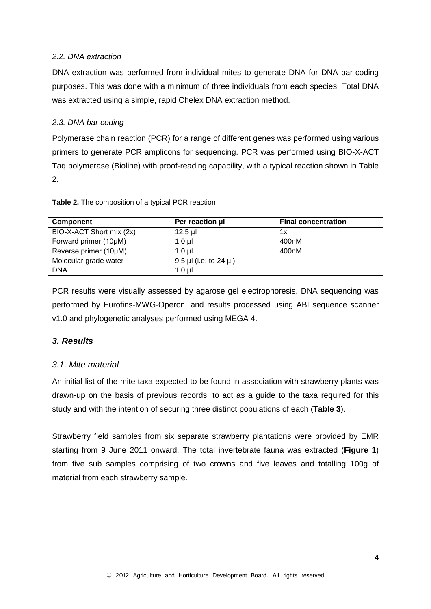#### *2.2. DNA extraction*

DNA extraction was performed from individual mites to generate DNA for DNA bar-coding purposes. This was done with a minimum of three individuals from each species. Total DNA was extracted using a simple, rapid Chelex DNA extraction method.

#### *2.3. DNA bar coding*

Polymerase chain reaction (PCR) for a range of different genes was performed using various primers to generate PCR amplicons for sequencing. PCR was performed using BIO-X-ACT Taq polymerase (Bioline) with proof-reading capability, with a typical reaction shown in Table 2.

| <b>Component</b>         | Per reaction µ           | <b>Final concentration</b> |
|--------------------------|--------------------------|----------------------------|
| BIO-X-ACT Short mix (2x) | $12.5$ µl                | 1x                         |
| Forward primer (10µM)    | $1.0$ $\mu$              | 400nM                      |
| Reverse primer (10µM)    | $1.0$ ul                 | 400nM                      |
| Molecular grade water    | $9.5$ µl (i.e. to 24 µl) |                            |
| <b>DNA</b>               | $1.0$ ul                 |                            |

**Table 2.** The composition of a typical PCR reaction

PCR results were visually assessed by agarose gel electrophoresis. DNA sequencing was performed by Eurofins-MWG-Operon, and results processed using ABI sequence scanner v1.0 and phylogenetic analyses performed using MEGA 4.

## *3. Results*

## *3.1. Mite material*

An initial list of the mite taxa expected to be found in association with strawberry plants was drawn-up on the basis of previous records, to act as a guide to the taxa required for this study and with the intention of securing three distinct populations of each (**Table 3**).

Strawberry field samples from six separate strawberry plantations were provided by EMR starting from 9 June 2011 onward. The total invertebrate fauna was extracted (**Figure 1**) from five sub samples comprising of two crowns and five leaves and totalling 100g of material from each strawberry sample.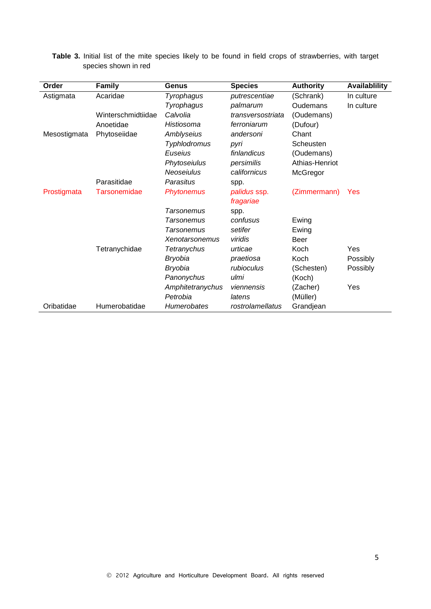| Order        | <b>Family</b>      | Genus                 | <b>Species</b>    | <b>Authority</b> | Availablility |
|--------------|--------------------|-----------------------|-------------------|------------------|---------------|
| Astigmata    | Acaridae           | Tyrophagus            | putrescentiae     | (Schrank)        | In culture    |
|              |                    | Tyrophagus            | palmarum          | Oudemans         | In culture    |
|              | Winterschmidtiidae | Calvolia              | transversostriata | (Oudemans)       |               |
|              | Anoetidae          | Histiosoma            | ferroniarum       | (Dufour)         |               |
| Mesostigmata | Phytoseiidae       | Amblyseius            | andersoni         | Chant            |               |
|              |                    | <b>Typhlodromus</b>   | pyri              | Scheusten        |               |
|              |                    | Euseius               | finlandicus       | (Oudemans)       |               |
|              |                    | Phytoseiulus          | persimilis        | Athias-Henriot   |               |
|              |                    | Neoseiulus            | californicus      | McGregor         |               |
|              | Parasitidae        | Parasitus             | spp.              |                  |               |
| Prostigmata  | Tarsonemidae       | <b>Phytonemus</b>     | palidus ssp.      | (Zimmermann)     | Yes           |
|              |                    |                       | fragariae         |                  |               |
|              |                    | <b>Tarsonemus</b>     | spp.              |                  |               |
|              |                    | <b>Tarsonemus</b>     | confusus          | Ewing            |               |
|              |                    | Tarsonemus            | setifer           | Ewing            |               |
|              |                    | <b>Xenotarsonemus</b> | viridis           | Beer             |               |
|              | Tetranychidae      | <b>Tetranychus</b>    | urticae           | Koch             | Yes           |
|              |                    | <b>Bryobia</b>        | praetiosa         | Koch             | Possibly      |
|              |                    | <b>Bryobia</b>        | rubioculus        | (Schesten)       | Possibly      |
|              |                    | Panonychus            | ulmi              | (Koch)           |               |
|              |                    | Amphitetranychus      | viennensis        | (Zacher)         | Yes           |
|              |                    | Petrobia              | latens            | (Müller)         |               |
| Oribatidae   | Humerobatidae      | <b>Humerobates</b>    | rostrolamellatus  | Grandjean        |               |

**Table 3.** Initial list of the mite species likely to be found in field crops of strawberries, with target species shown in red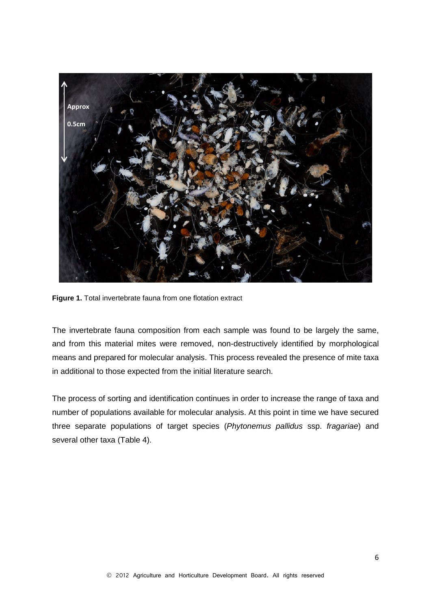

**Figure 1.** Total invertebrate fauna from one flotation extract

The invertebrate fauna composition from each sample was found to be largely the same, and from this material mites were removed, non-destructively identified by morphological means and prepared for molecular analysis. This process revealed the presence of mite taxa in additional to those expected from the initial literature search.

The process of sorting and identification continues in order to increase the range of taxa and number of populations available for molecular analysis. At this point in time we have secured three separate populations of target species (*Phytonemus pallidus* ssp. *fragariae*) and several other taxa (Table 4).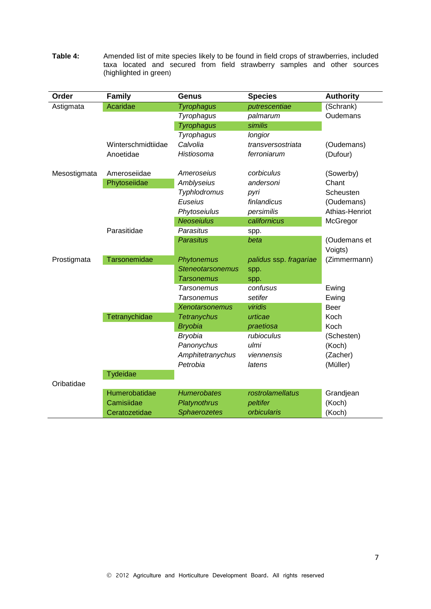| Order        | <b>Family</b>       | <b>Genus</b>            | <b>Species</b>         | <b>Authority</b> |
|--------------|---------------------|-------------------------|------------------------|------------------|
| Astigmata    | Acaridae            | <b>Tyrophagus</b>       | putrescentiae          | (Schrank)        |
|              |                     | Tyrophagus              | palmarum               | Oudemans         |
|              |                     | <b>Tyrophagus</b>       | similis                |                  |
|              |                     | Tyrophagus              | longior                |                  |
|              | Winterschmidtiidae  | Calvolia                | transversostriata      | (Oudemans)       |
|              | Anoetidae           | Histiosoma              | ferroniarum            | (Dufour)         |
|              |                     |                         |                        |                  |
| Mesostigmata | Ameroseiidae        | Ameroseius              | corbiculus             | (Sowerby)        |
|              | Phytoseiidae        | Amblyseius              | andersoni              | Chant            |
|              |                     | Typhlodromus            | pyri                   | Scheusten        |
|              |                     | Euseius                 | finlandicus            | (Oudemans)       |
|              |                     | Phytoseiulus            | persimilis             | Athias-Henriot   |
|              |                     | <b>Neoseiulus</b>       | californicus           | McGregor         |
|              | Parasitidae         | Parasitus               | spp.                   |                  |
|              |                     | <b>Parasitus</b>        | beta                   | (Oudemans et     |
|              |                     |                         |                        | Voigts)          |
| Prostigmata  | <b>Tarsonemidae</b> | Phytonemus              | palidus ssp. fragariae | (Zimmermann)     |
|              |                     | <b>Steneotarsonemus</b> | spp.                   |                  |
|              |                     | <b>Tarsonemus</b>       | spp.                   |                  |
|              |                     | <b>Tarsonemus</b>       | confusus               | Ewing            |
|              |                     | <b>Tarsonemus</b>       | setifer                | Ewing            |
|              |                     | <b>Xenotarsonemus</b>   | viridis                | <b>Beer</b>      |
|              | Tetranychidae       | <b>Tetranychus</b>      | urticae                | Koch             |
|              |                     | <b>Bryobia</b>          | praetiosa              | Koch             |
|              |                     | <b>Bryobia</b>          | rubioculus             | (Schesten)       |
|              |                     | Panonychus              | ulmi                   | (Koch)           |
|              |                     | Amphitetranychus        | viennensis             | (Zacher)         |
|              |                     | Petrobia                | latens                 | (Müller)         |
|              | Tydeidae            |                         |                        |                  |
| Oribatidae   |                     |                         |                        |                  |
|              | Humerobatidae       | <b>Humerobates</b>      | rostrolamellatus       | Grandjean        |
|              | Camisiidae          | Platynothrus            | peltifer               | (Koch)           |
|              | Ceratozetidae       | <b>Sphaerozetes</b>     | orbicularis            | (Koch)           |

**Table 4:** Amended list of mite species likely to be found in field crops of strawberries, included taxa located and secured from field strawberry samples and other sources (highlighted in green)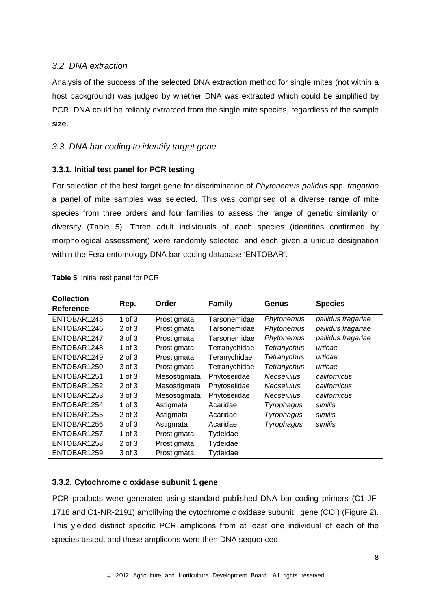## *3.2. DNA extraction*

Analysis of the success of the selected DNA extraction method for single mites (not within a host background) was judged by whether DNA was extracted which could be amplified by PCR. DNA could be reliably extracted from the single mite species, regardless of the sample size.

## *3.3. DNA bar coding to identify target gene*

#### **3.3.1. Initial test panel for PCR testing**

For selection of the best target gene for discrimination of *Phytonemus palidus* spp. *fragariae* a panel of mite samples was selected. This was comprised of a diverse range of mite species from three orders and four families to assess the range of genetic similarity or diversity (Table 5). Three adult individuals of each species (identities confirmed by morphological assessment) were randomly selected, and each given a unique designation within the Fera entomology DNA bar-coding database 'ENTOBAR'.

| <b>Collection</b> |            | Order        | <b>Family</b> |                    | <b>Species</b>     |
|-------------------|------------|--------------|---------------|--------------------|--------------------|
| <b>Reference</b>  | Rep.       |              |               | Genus              |                    |
| ENTOBAR1245       | 1 of $3$   | Prostigmata  | Tarsonemidae  | Phytonemus         | pallidus fragariae |
| ENTOBAR1246       | $2$ of $3$ | Prostigmata  | Tarsonemidae  | Phytonemus         | pallidus fragariae |
| ENTOBAR1247       | 3 of 3     | Prostigmata  | Tarsonemidae  | Phytonemus         | pallidus fragariae |
| ENTOBAR1248       | 1 of $3$   | Prostigmata  | Tetranychidae | Tetranychus        | urticae            |
| ENTOBAR1249       | $2$ of $3$ | Prostigmata  | Teranychidae  | <b>Tetranychus</b> | urticae            |
| ENTOBAR1250       | 3 of 3     | Prostigmata  | Tetranychidae | <b>Tetranychus</b> | urticae            |
| ENTOBAR1251       | 1 of $3$   | Mesostigmata | Phytoseiidae  | Neoseiulus         | californicus       |
| ENTOBAR1252       | $2$ of $3$ | Mesostigmata | Phytoseiidae  | <b>Neoseiulus</b>  | californicus       |
| ENTOBAR1253       | 3 of 3     | Mesostigmata | Phytoseiidae  | Neoseiulus         | californicus       |
| ENTOBAR1254       | 1 of $3$   | Astigmata    | Acaridae      | Tyrophagus         | similis            |
| ENTOBAR1255       | $2$ of $3$ | Astigmata    | Acaridae      | Tyrophagus         | similis            |
| ENTOBAR1256       | 3 of 3     | Astigmata    | Acaridae      | Tyrophagus         | similis            |
| ENTOBAR1257       | 1 of $3$   | Prostigmata  | Tydeidae      |                    |                    |
| ENTOBAR1258       | $2$ of $3$ | Prostigmata  | Tydeidae      |                    |                    |
| ENTOBAR1259       | 3 of 3     | Prostigmata  | Tydeidae      |                    |                    |

#### **Table 5**. Initial test panel for PCR

#### **3.3.2. Cytochrome c oxidase subunit 1 gene**

PCR products were generated using standard published DNA bar-coding primers (C1-JF-1718 and C1-NR-2191) amplifying the cytochrome c oxidase subunit I gene (COI) (Figure 2). This yielded distinct specific PCR amplicons from at least one individual of each of the species tested, and these amplicons were then DNA sequenced.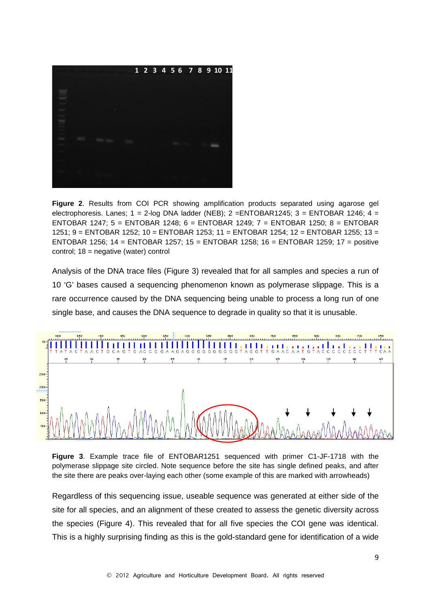

**Figure 2**. Results from COI PCR showing amplification products separated using agarose gel electrophoresis. Lanes;  $1 = 2$ -log DNA ladder (NEB);  $2 = ENTOBAR1245$ ;  $3 = ENTOBAR1246$ ;  $4 =$ ENTOBAR 1247; 5 = ENTOBAR 1248; 6 = ENTOBAR 1249; 7 = ENTOBAR 1250; 8 = ENTOBAR 1251; 9 = ENTOBAR 1252; 10 = ENTOBAR 1253; 11 = ENTOBAR 1254; 12 = ENTOBAR 1255; 13 = ENTOBAR 1256; 14 = ENTOBAR 1257; 15 = ENTOBAR 1258; 16 = ENTOBAR 1259; 17 = positive control; 18 = negative (water) control

Analysis of the DNA trace files (Figure 3) revealed that for all samples and species a run of 10 'G' bases caused a sequencing phenomenon known as polymerase slippage. This is a rare occurrence caused by the DNA sequencing being unable to process a long run of one single base, and causes the DNA sequence to degrade in quality so that it is unusable.



**Figure 3**. Example trace file of ENTOBAR1251 sequenced with primer C1-JF-1718 with the polymerase slippage site circled. Note sequence before the site has single defined peaks, and after the site there are peaks over-laying each other (some example of this are marked with arrowheads)

Regardless of this sequencing issue, useable sequence was generated at either side of the site for all species, and an alignment of these created to assess the genetic diversity across the species (Figure 4). This revealed that for all five species the COI gene was identical. This is a highly surprising finding as this is the gold-standard gene for identification of a wide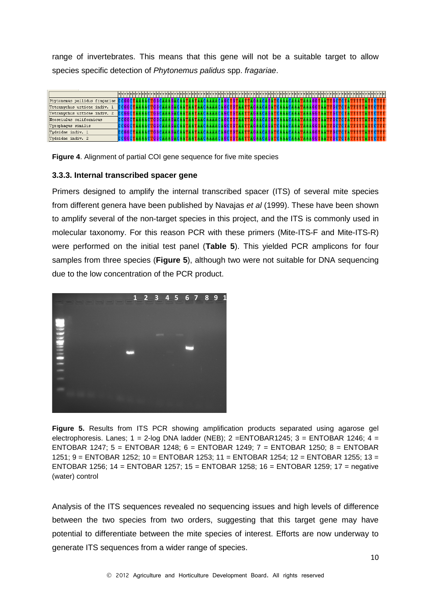range of invertebrates. This means that this gene will not be a suitable target to allow species specific detection of *Phytonemus palidus* spp. *fragariae*.



**Figure 4**. Alignment of partial COI gene sequence for five mite species

#### **3.3.3. Internal transcribed spacer gene**

Primers designed to amplify the internal transcribed spacer (ITS) of several mite species from different genera have been published by Navajas *et al* (1999). These have been shown to amplify several of the non-target species in this project, and the ITS is commonly used in molecular taxonomy. For this reason PCR with these primers (Mite-ITS-F and Mite-ITS-R) were performed on the initial test panel (**Table 5**). This yielded PCR amplicons for four samples from three species (**Figure 5**), although two were not suitable for DNA sequencing due to the low concentration of the PCR product.



**Figure 5.** Results from ITS PCR showing amplification products separated using agarose gel electrophoresis. Lanes;  $1 = 2$ -log DNA ladder (NEB);  $2 = ENTOBAR1245$ ;  $3 = ENTOBAR1246$ ;  $4 =$ ENTOBAR 1247; 5 = ENTOBAR 1248; 6 = ENTOBAR 1249; 7 = ENTOBAR 1250; 8 = ENTOBAR 1251; 9 = ENTOBAR 1252; 10 = ENTOBAR 1253; 11 = ENTOBAR 1254; 12 = ENTOBAR 1255; 13 = ENTOBAR 1256; 14 = ENTOBAR 1257; 15 = ENTOBAR 1258; 16 = ENTOBAR 1259; 17 = negative (water) control

Analysis of the ITS sequences revealed no sequencing issues and high levels of difference between the two species from two orders, suggesting that this target gene may have potential to differentiate between the mite species of interest. Efforts are now underway to generate ITS sequences from a wider range of species.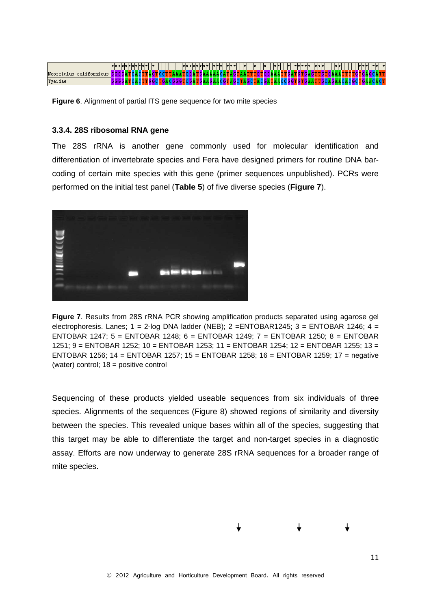|                            |                |       |   |      |                |       | v   v   v   v   v   v   v | $ \pi \pi \pi $ | $ \pi \pi \pi $ | $ \pi $ | $\pm$ | $ \pi $ | $  \pi  \pi  $                       | $\pm$ | $ \pi \pi \pi \pi \pi $ | $ \pi \pi \pi$ |                      |  | x  x  x  | $\pm$ |  |
|----------------------------|----------------|-------|---|------|----------------|-------|---------------------------|-----------------|-----------------|---------|-------|---------|--------------------------------------|-------|-------------------------|----------------|----------------------|--|----------|-------|--|
| Neoseiulus<br>californicus | <b>IGGGGAT</b> | псмет | ш | тест | ITA A A T      | псеан |                           |                 |                 |         |       |         | TGAAAAACATAGTAATTTGTGGAAATT          |       | .46ATGTGAGP             | TH             | IGAAAI               |  |          |       |  |
| Tyeidae                    |                |       |   |      | 16 A C 6 G 6 6 | тосы  |                           |                 |                 |         |       |         | FGAAGAACGTAGCTAGCTACGATAACCGGTGTGAAT |       |                         |                | <b>ngcagaacacgct</b> |  | IGAACACI |       |  |

**Figure 6**. Alignment of partial ITS gene sequence for two mite species

#### **3.3.4. 28S ribosomal RNA gene**

The 28S rRNA is another gene commonly used for molecular identification and differentiation of invertebrate species and Fera have designed primers for routine DNA barcoding of certain mite species with this gene (primer sequences unpublished). PCRs were performed on the initial test panel (**Table 5**) of five diverse species (**Figure 7**).



**Figure 7**. Results from 28S rRNA PCR showing amplification products separated using agarose gel electrophoresis. Lanes;  $1 = 2$ -log DNA ladder (NEB);  $2 = ENTOBAR1245$ ;  $3 = ENTOBAR1246$ ;  $4 =$ ENTOBAR 1247; 5 = ENTOBAR 1248; 6 = ENTOBAR 1249; 7 = ENTOBAR 1250; 8 = ENTOBAR 1251; 9 = ENTOBAR 1252; 10 = ENTOBAR 1253; 11 = ENTOBAR 1254; 12 = ENTOBAR 1255; 13 = ENTOBAR 1256; 14 = ENTOBAR 1257; 15 = ENTOBAR 1258; 16 = ENTOBAR 1259; 17 = negative (water) control; 18 = positive control

Sequencing of these products yielded useable sequences from six individuals of three species. Alignments of the sequences (Figure 8) showed regions of similarity and diversity between the species. This revealed unique bases within all of the species, suggesting that this target may be able to differentiate the target and non-target species in a diagnostic assay. Efforts are now underway to generate 28S rRNA sequences for a broader range of mite species.



11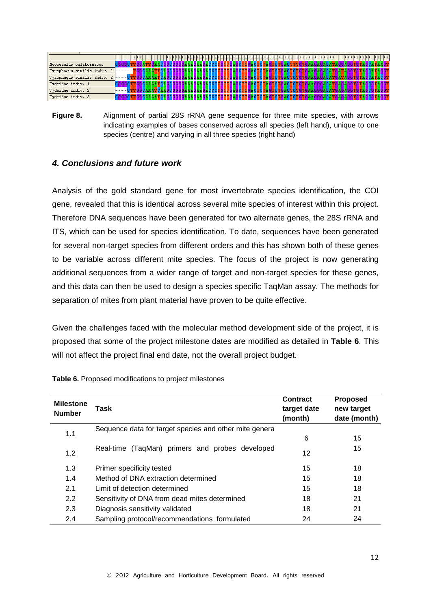

**Figure 8.** Alignment of partial 28S rRNA gene sequence for three mite species, with arrows indicating examples of bases conserved across all species (left hand), unique to one species (centre) and varying in all three species (right hand)

#### *4. Conclusions and future work*

Analysis of the gold standard gene for most invertebrate species identification, the COI gene, revealed that this is identical across several mite species of interest within this project. Therefore DNA sequences have been generated for two alternate genes, the 28S rRNA and ITS, which can be used for species identification. To date, sequences have been generated for several non-target species from different orders and this has shown both of these genes to be variable across different mite species. The focus of the project is now generating additional sequences from a wider range of target and non-target species for these genes, and this data can then be used to design a species specific TaqMan assay. The methods for separation of mites from plant material have proven to be quite effective.

Given the challenges faced with the molecular method development side of the project, it is proposed that some of the project milestone dates are modified as detailed in **Table 6**. This will not affect the project final end date, not the overall project budget.

| <b>Milestone</b><br><b>Number</b> | Task                                                   | Contract<br>target date<br>(month) | <b>Proposed</b><br>new target<br>date (month) |
|-----------------------------------|--------------------------------------------------------|------------------------------------|-----------------------------------------------|
| 1.1                               | Sequence data for target species and other mite genera |                                    |                                               |
|                                   |                                                        | 6                                  | 15                                            |
| 1.2                               | Real-time (TaqMan) primers and probes developed        | 12                                 | 15                                            |
| 1.3                               | Primer specificity tested                              | 15                                 | 18                                            |
| 1.4                               | Method of DNA extraction determined                    | 15                                 | 18                                            |
| 2.1                               | Limit of detection determined                          | 15                                 | 18                                            |
| 2.2                               | Sensitivity of DNA from dead mites determined          | 18                                 | 21                                            |
| 2.3                               | Diagnosis sensitivity validated                        | 18                                 | 21                                            |
| 2.4                               | Sampling protocol/recommendations formulated           | 24                                 | 24                                            |

**Table 6.** Proposed modifications to project milestones